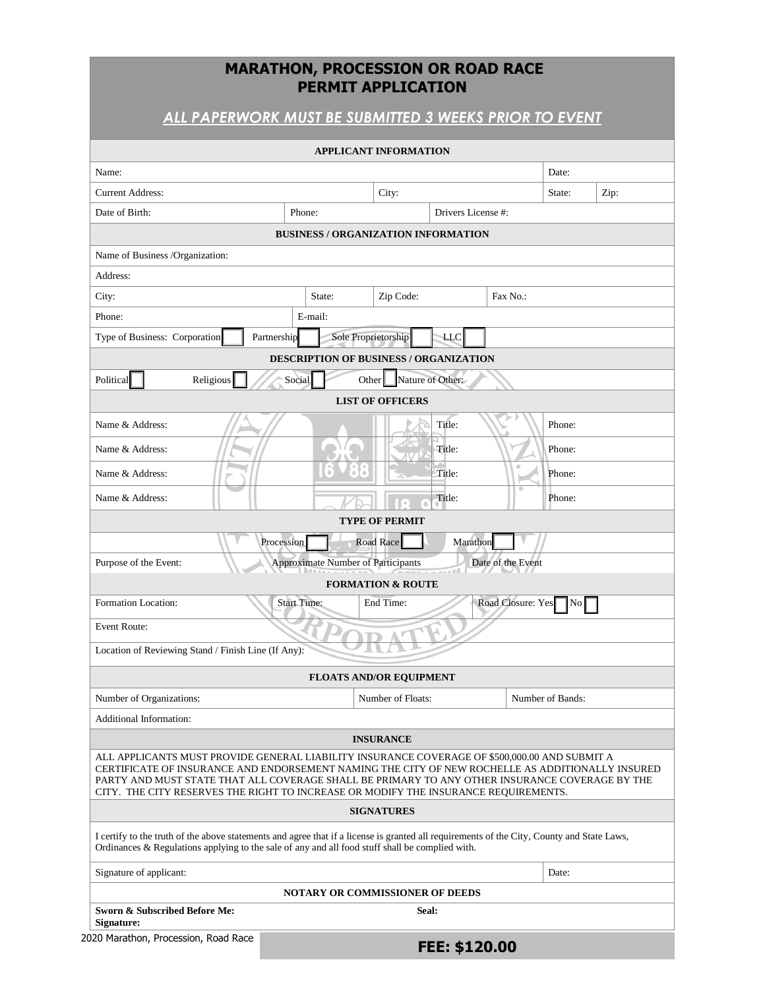## **MARATHON, PROCESSION OR ROAD RACE PERMIT APPLICATION**

# *ALL PAPERWORK MUST BE SUBMITTED 3 WEEKS PRIOR TO EVENT*

| City:<br><b>BUSINESS / ORGANIZATION INFORMATION</b><br>Zip Code: | Drivers License #:                                                                                                            | Date:<br>State:<br>Zip:                                                                                                                                                                                                                                            |                                                                                                                                                                                                                                                                                                                                                                                                                                                                                                                                                                                                       |  |
|------------------------------------------------------------------|-------------------------------------------------------------------------------------------------------------------------------|--------------------------------------------------------------------------------------------------------------------------------------------------------------------------------------------------------------------------------------------------------------------|-------------------------------------------------------------------------------------------------------------------------------------------------------------------------------------------------------------------------------------------------------------------------------------------------------------------------------------------------------------------------------------------------------------------------------------------------------------------------------------------------------------------------------------------------------------------------------------------------------|--|
|                                                                  |                                                                                                                               |                                                                                                                                                                                                                                                                    |                                                                                                                                                                                                                                                                                                                                                                                                                                                                                                                                                                                                       |  |
|                                                                  |                                                                                                                               |                                                                                                                                                                                                                                                                    |                                                                                                                                                                                                                                                                                                                                                                                                                                                                                                                                                                                                       |  |
|                                                                  |                                                                                                                               |                                                                                                                                                                                                                                                                    |                                                                                                                                                                                                                                                                                                                                                                                                                                                                                                                                                                                                       |  |
|                                                                  |                                                                                                                               |                                                                                                                                                                                                                                                                    |                                                                                                                                                                                                                                                                                                                                                                                                                                                                                                                                                                                                       |  |
|                                                                  |                                                                                                                               |                                                                                                                                                                                                                                                                    |                                                                                                                                                                                                                                                                                                                                                                                                                                                                                                                                                                                                       |  |
|                                                                  |                                                                                                                               |                                                                                                                                                                                                                                                                    |                                                                                                                                                                                                                                                                                                                                                                                                                                                                                                                                                                                                       |  |
|                                                                  | Fax No.:                                                                                                                      |                                                                                                                                                                                                                                                                    |                                                                                                                                                                                                                                                                                                                                                                                                                                                                                                                                                                                                       |  |
|                                                                  |                                                                                                                               |                                                                                                                                                                                                                                                                    |                                                                                                                                                                                                                                                                                                                                                                                                                                                                                                                                                                                                       |  |
| Sole Proprietorship<br>LLC                                       |                                                                                                                               |                                                                                                                                                                                                                                                                    |                                                                                                                                                                                                                                                                                                                                                                                                                                                                                                                                                                                                       |  |
|                                                                  |                                                                                                                               |                                                                                                                                                                                                                                                                    |                                                                                                                                                                                                                                                                                                                                                                                                                                                                                                                                                                                                       |  |
| Other                                                            |                                                                                                                               |                                                                                                                                                                                                                                                                    |                                                                                                                                                                                                                                                                                                                                                                                                                                                                                                                                                                                                       |  |
|                                                                  |                                                                                                                               |                                                                                                                                                                                                                                                                    |                                                                                                                                                                                                                                                                                                                                                                                                                                                                                                                                                                                                       |  |
|                                                                  |                                                                                                                               | Phone:                                                                                                                                                                                                                                                             |                                                                                                                                                                                                                                                                                                                                                                                                                                                                                                                                                                                                       |  |
|                                                                  |                                                                                                                               |                                                                                                                                                                                                                                                                    |                                                                                                                                                                                                                                                                                                                                                                                                                                                                                                                                                                                                       |  |
|                                                                  | $\qquad \qquad \circ$                                                                                                         |                                                                                                                                                                                                                                                                    |                                                                                                                                                                                                                                                                                                                                                                                                                                                                                                                                                                                                       |  |
|                                                                  |                                                                                                                               |                                                                                                                                                                                                                                                                    |                                                                                                                                                                                                                                                                                                                                                                                                                                                                                                                                                                                                       |  |
|                                                                  |                                                                                                                               | Phone:                                                                                                                                                                                                                                                             |                                                                                                                                                                                                                                                                                                                                                                                                                                                                                                                                                                                                       |  |
|                                                                  |                                                                                                                               |                                                                                                                                                                                                                                                                    |                                                                                                                                                                                                                                                                                                                                                                                                                                                                                                                                                                                                       |  |
| Road Race                                                        |                                                                                                                               |                                                                                                                                                                                                                                                                    |                                                                                                                                                                                                                                                                                                                                                                                                                                                                                                                                                                                                       |  |
|                                                                  | Date of the Event                                                                                                             |                                                                                                                                                                                                                                                                    |                                                                                                                                                                                                                                                                                                                                                                                                                                                                                                                                                                                                       |  |
|                                                                  |                                                                                                                               |                                                                                                                                                                                                                                                                    |                                                                                                                                                                                                                                                                                                                                                                                                                                                                                                                                                                                                       |  |
| End Time:                                                        |                                                                                                                               | No                                                                                                                                                                                                                                                                 |                                                                                                                                                                                                                                                                                                                                                                                                                                                                                                                                                                                                       |  |
|                                                                  |                                                                                                                               |                                                                                                                                                                                                                                                                    |                                                                                                                                                                                                                                                                                                                                                                                                                                                                                                                                                                                                       |  |
|                                                                  |                                                                                                                               |                                                                                                                                                                                                                                                                    |                                                                                                                                                                                                                                                                                                                                                                                                                                                                                                                                                                                                       |  |
| <b>FLOATS AND/OR EQUIPMENT</b>                                   |                                                                                                                               |                                                                                                                                                                                                                                                                    |                                                                                                                                                                                                                                                                                                                                                                                                                                                                                                                                                                                                       |  |
| Number of Floats:                                                |                                                                                                                               |                                                                                                                                                                                                                                                                    |                                                                                                                                                                                                                                                                                                                                                                                                                                                                                                                                                                                                       |  |
|                                                                  |                                                                                                                               |                                                                                                                                                                                                                                                                    |                                                                                                                                                                                                                                                                                                                                                                                                                                                                                                                                                                                                       |  |
| <b>INSURANCE</b>                                                 |                                                                                                                               |                                                                                                                                                                                                                                                                    |                                                                                                                                                                                                                                                                                                                                                                                                                                                                                                                                                                                                       |  |
|                                                                  |                                                                                                                               |                                                                                                                                                                                                                                                                    |                                                                                                                                                                                                                                                                                                                                                                                                                                                                                                                                                                                                       |  |
| <b>SIGNATURES</b>                                                |                                                                                                                               |                                                                                                                                                                                                                                                                    |                                                                                                                                                                                                                                                                                                                                                                                                                                                                                                                                                                                                       |  |
|                                                                  |                                                                                                                               |                                                                                                                                                                                                                                                                    |                                                                                                                                                                                                                                                                                                                                                                                                                                                                                                                                                                                                       |  |
|                                                                  |                                                                                                                               | Date:                                                                                                                                                                                                                                                              |                                                                                                                                                                                                                                                                                                                                                                                                                                                                                                                                                                                                       |  |
|                                                                  |                                                                                                                               |                                                                                                                                                                                                                                                                    |                                                                                                                                                                                                                                                                                                                                                                                                                                                                                                                                                                                                       |  |
| Seal:                                                            |                                                                                                                               |                                                                                                                                                                                                                                                                    |                                                                                                                                                                                                                                                                                                                                                                                                                                                                                                                                                                                                       |  |
|                                                                  |                                                                                                                               |                                                                                                                                                                                                                                                                    |                                                                                                                                                                                                                                                                                                                                                                                                                                                                                                                                                                                                       |  |
|                                                                  | <b>LIST OF OFFICERS</b><br><b>TYPE OF PERMIT</b><br><b>Approximate Number of Participants</b><br><b>FORMATION &amp; ROUTE</b> | <b>DESCRIPTION OF BUSINESS / ORGANIZATION</b><br>Nature of Other:<br>Title:<br>Title:<br>Title:<br>Title:<br>Marathon<br>Ordinances & Regulations applying to the sale of any and all food stuff shall be complied with.<br><b>NOTARY OR COMMISSIONER OF DEEDS</b> | Phone:<br>Phone:<br>Road Closure: Yes<br>Number of Bands:<br>ALL APPLICANTS MUST PROVIDE GENERAL LIABILITY INSURANCE COVERAGE OF \$500,000.00 AND SUBMIT A<br>CERTIFICATE OF INSURANCE AND ENDORSEMENT NAMING THE CITY OF NEW ROCHELLE AS ADDITIONALLY INSURED<br>PARTY AND MUST STATE THAT ALL COVERAGE SHALL BE PRIMARY TO ANY OTHER INSURANCE COVERAGE BY THE<br>CITY. THE CITY RESERVES THE RIGHT TO INCREASE OR MODIFY THE INSURANCE REQUIREMENTS.<br>I certify to the truth of the above statements and agree that if a license is granted all requirements of the City, County and State Laws, |  |